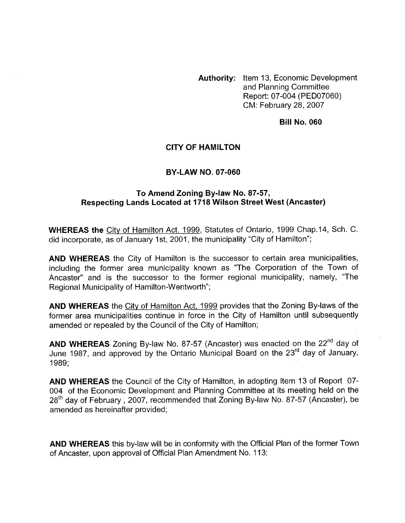**Authority:** Item 13, Economic Development and Planning Committee Report: 07-004 (PED07060) CM: February 28,2007

#### **Bill No. 060**

### **CITY OF HAMILTON**

#### **BY-LAW NO. 07-060**

#### **To Amend Zoning By-law No. 87-57, Respecting Lands Located at 1718 Wilson Street West (Ancaster)**

**WHEREAS the** City of Hamilton Act. 1999, Statutes of Ontario, 1999 Chap.14, Sch. C. did incorporate, as of January 1st, 2001, the municipality "City of Hamilton";

**AND WHEREAS** the City of Hamilton is the successor to certain area municipalities, including the former area municipality known as "The Corporation of the Town of Ancaster" and is the successor to the former regional municipality, namely, "The Regional Municipality of Hamilton-Wentworth";

**AND WHEREAS** the City of Hamilton Act, 1999 provides that the Zoning By-laws of the former area municipalities continue in force in the City of Hamilton until subsequently amended or repealed by the Council of the City of Hamilton;

**AND WHEREAS** Zoning By-law No. 87-57 (Ancaster) was enacted on the 22<sup>nd</sup> day of June 1987, and approved by the Ontario Municipal Board on the 23<sup>rd</sup> day of January, 1989;

**AND WHEREAS** the Council of the City of Hamilton, in adopting Item 13 of Report 07- 004 of the Economic Development and Planning Committee at its meeting held on the 28<sup>th</sup> day of February, 2007, recommended that Zoning By-law No. 87-57 (Ancaster), be amended as hereinafter provided;

**AND WHEREAS** this by-law will be in conformity with the Official Plan of the former Town of Ancaster, upon approval of Official Plan Amendment No. 113: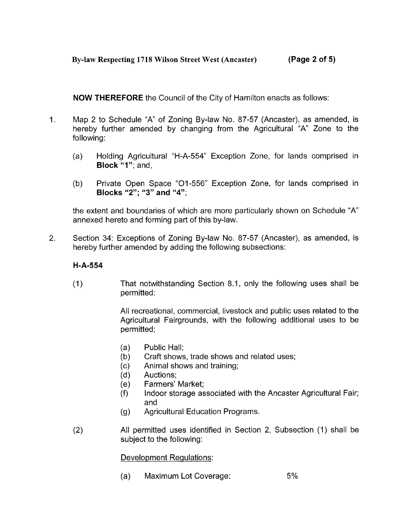**NOW THEREFORE** the Council of the City of Hamilton enacts as follows:

- 1. Map 2 to Schedule "A" of Zoning By-law No. 87-57 (Ancaster), as amended, is hereby further amended by changing from the Agricultural "A" Zone to the following:
	- (a) Holding Agricultural "H-A-554" Exception Zone, for lands comprised in **Block "1";** and,
	- (b) Private Open Space "01-556" Exception Zone, for lands comprised in **Blocks "2"; "3" and "4";**

the extent and boundaries of which are more particularly shown on Schedule "A" annexed hereto and forming part of this by-law.

2. Section 34: Exceptions of Zoning By-law No. 87-57 (Ancaster), as amended, is hereby further amended by adding the following subsections:

# **H-A-554**

(1) That notwithstanding Section 8.1, only the following uses shall be permitted :

> All recreational, commercial, livestock and public uses related to the Agricultural Fairgrounds, with the following additional uses to be permitted:

- (a) Public Hall;
- $\binom{b}{c}$ Craft shows, trade shows and related uses;
- Animal shows and training;
- (d) Auctions;
- (e) Farmers' Market;
- (f) Indoor storage associated with the Ancaster Agricultural Fair; and
- (9) Agricultural Education Programs.
- (2) All permitted uses identified in Section 2, Subsection (1) shall be subject to the following:

# Development Regulations:

(a) Maximum Lot Coverage: 5 *'/o*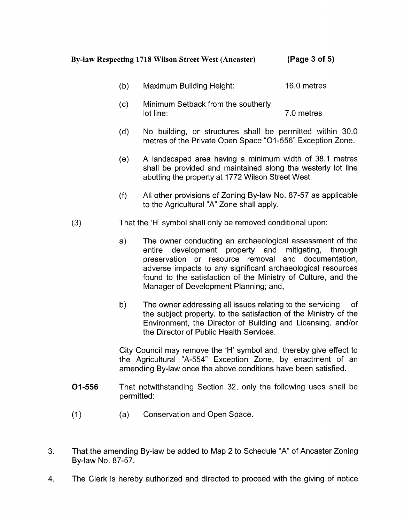### **By-law Respecting 1718 Wilson Street West (Ancaster) (Page 3 of 5)**

- Maximum Building Height: 16.0 metres  $(b)$
- Minimum Setback from the southerly  $(c)$ lot line: 7.0 metres
- $(d)$ No building, or structures shall be permitted within 30.0 metres of the Private Open Space "01 -556" Exception Zone.
- $(e)$ A landscaped area having a minimum width of 38.1 metres shall be provided and maintained along the westerly lot line abutting the property at 1772 Wilson Street West.
- $(f)$ All other provisions of Zoning By-law No. 87-57 as applicable to the Agricultural "A" Zone shall apply.
- (3) That the 'H' symbol shall only be removed conditional upon:
	- a) The owner conducting an archaeological assessment of the entire development property and mitigating, through entire development property and preservation or resource removal and documentation, adverse impacts to any significant archaeological resources found to the satisfaction of the Ministry of Culture, and the Manager of Development Planning; and,
	- b) The owner addressing all issues relating to the servicing of the subject property, to the satisfaction of the Ministry of the Environment, the Director of Building and Licensing, and/or the Director of Public Health Services.

City Council may remove the 'H' symbol and, thereby give effect to the Agricultural "A-554" Exception Zone, by enactment of an amending By-law once the above conditions have been satisfied.

- **01-556** That notwithstanding Section 32, only the following uses shall be permitted:
- (1) (a) Conservation and Open Space.
- 3. That the amending By-law be added to Map 2 to Schedule "A" of Ancaster Zoning By-law No. 87-57.
- **4.** The Clerk is hereby authorized and directed to proceed with the giving of notice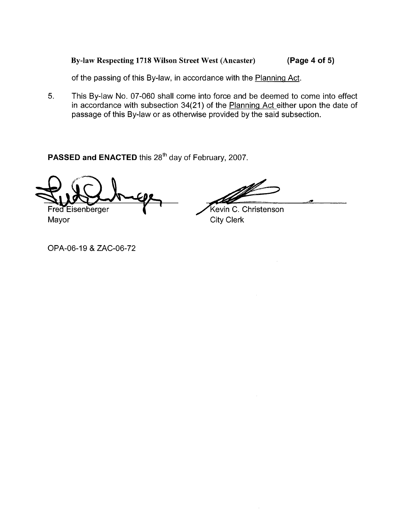## **By-law Respecting 1718 Wilson Street West (Ancaster) (Page 4 of 5)**

of the passing of this By-law, in accordance with the Planning Act.

**5.** This By-law No. 07-060 shall come into force and be deemed to come into effect in accordance with subsection 34(21) of the Planning Act either upon the date of passage of this By-law or as otherwise provided by the said subsection.

PASSED and ENACTED this 28<sup>th</sup> day of February, 2007.

Fred Eisenberger

Kevin C. Christenson

Mayor City Clerk

OPA-06-19 & ZAC-06-72